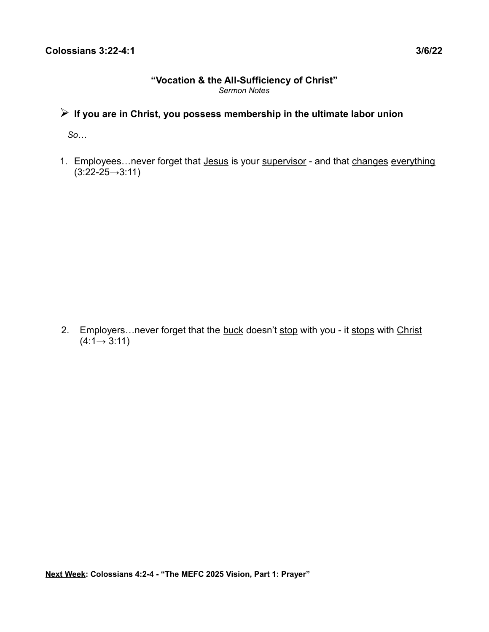#### **"Vocation & the All-Sufficiency of Christ"** *Sermon Notes*

# ➢ **If you are in Christ, you possess membership in the ultimate labor union**

 *So…*

1. Employees...never forget that Jesus is your supervisor - and that changes everything  $(3:22 - 25 \rightarrow 3:11)$ 

2. Employers...never forget that the buck doesn't stop with you - it stops with Christ  $(4:1 \rightarrow 3:11)$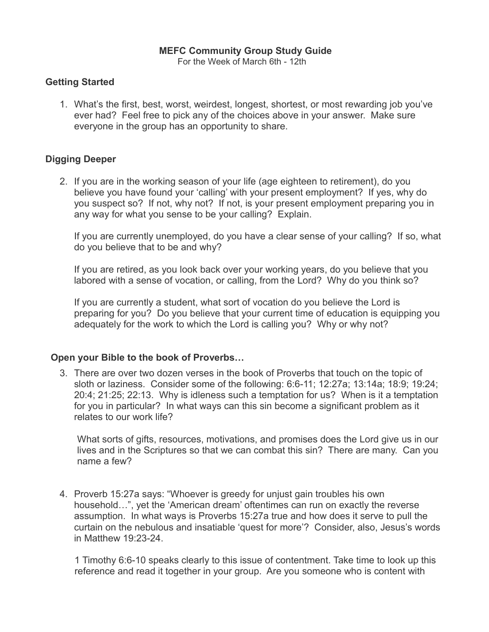### **MEFC Community Group Study Guide**

For the Week of March 6th - 12th

### **Getting Started**

1. What's the first, best, worst, weirdest, longest, shortest, or most rewarding job you've ever had? Feel free to pick any of the choices above in your answer. Make sure everyone in the group has an opportunity to share.

## **Digging Deeper**

2. If you are in the working season of your life (age eighteen to retirement), do you believe you have found your 'calling' with your present employment? If yes, why do you suspect so? If not, why not? If not, is your present employment preparing you in any way for what you sense to be your calling? Explain.

If you are currently unemployed, do you have a clear sense of your calling? If so, what do you believe that to be and why?

If you are retired, as you look back over your working years, do you believe that you labored with a sense of vocation, or calling, from the Lord? Why do you think so?

If you are currently a student, what sort of vocation do you believe the Lord is preparing for you? Do you believe that your current time of education is equipping you adequately for the work to which the Lord is calling you? Why or why not?

#### **Open your Bible to the book of Proverbs…**

3. There are over two dozen verses in the book of Proverbs that touch on the topic of sloth or laziness. Consider some of the following: 6:6-11; 12:27a; 13:14a; 18:9; 19:24; 20:4; 21:25; 22:13. Why is idleness such a temptation for us? When is it a temptation for you in particular? In what ways can this sin become a significant problem as it relates to our work life?

 What sorts of gifts, resources, motivations, and promises does the Lord give us in our lives and in the Scriptures so that we can combat this sin? There are many. Can you name a few?

4. Proverb 15:27a says: "Whoever is greedy for unjust gain troubles his own household…", yet the 'American dream' oftentimes can run on exactly the reverse assumption. In what ways is Proverbs 15:27a true and how does it serve to pull the curtain on the nebulous and insatiable 'quest for more'? Consider, also, Jesus's words in Matthew 19:23-24.

 1 Timothy 6:6-10 speaks clearly to this issue of contentment. Take time to look up this reference and read it together in your group. Are you someone who is content with